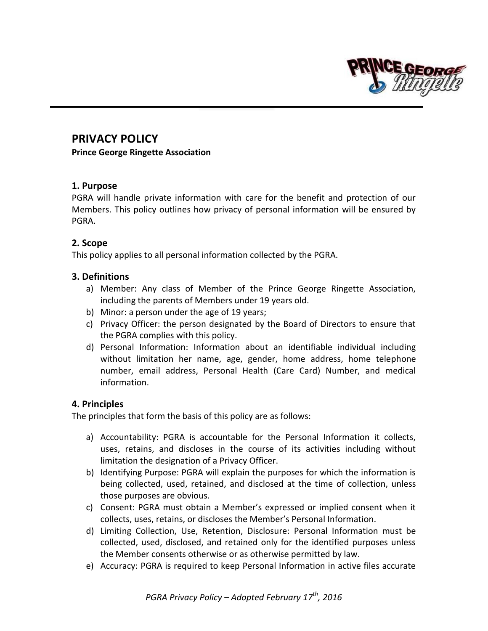

# **PRIVACY POLICY**

**Prince George Ringette Association**

# **1. Purpose**

PGRA will handle private information with care for the benefit and protection of our Members. This policy outlines how privacy of personal information will be ensured by PGRA.

# **2. Scope**

This policy applies to all personal information collected by the PGRA.

# **3. Definitions**

- a) Member: Any class of Member of the Prince George Ringette Association, including the parents of Members under 19 years old.
- b) Minor: a person under the age of 19 years;
- c) Privacy Officer: the person designated by the Board of Directors to ensure that the PGRA complies with this policy.
- d) Personal Information: Information about an identifiable individual including without limitation her name, age, gender, home address, home telephone number, email address, Personal Health (Care Card) Number, and medical information.

# **4. Principles**

The principles that form the basis of this policy are as follows:

- a) Accountability: PGRA is accountable for the Personal Information it collects, uses, retains, and discloses in the course of its activities including without limitation the designation of a Privacy Officer.
- b) Identifying Purpose: PGRA will explain the purposes for which the information is being collected, used, retained, and disclosed at the time of collection, unless those purposes are obvious.
- c) Consent: PGRA must obtain a Member's expressed or implied consent when it collects, uses, retains, or discloses the Member's Personal Information.
- d) Limiting Collection, Use, Retention, Disclosure: Personal Information must be collected, used, disclosed, and retained only for the identified purposes unless the Member consents otherwise or as otherwise permitted by law.
- e) Accuracy: PGRA is required to keep Personal Information in active files accurate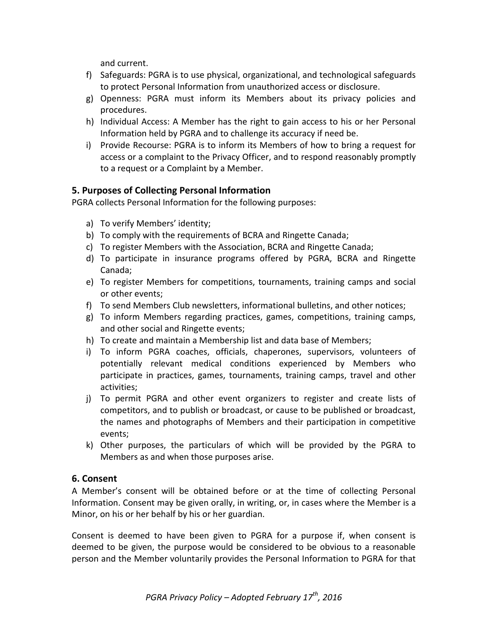and current.

- f) Safeguards: PGRA is to use physical, organizational, and technological safeguards to protect Personal Information from unauthorized access or disclosure.
- g) Openness: PGRA must inform its Members about its privacy policies and procedures.
- h) Individual Access: A Member has the right to gain access to his or her Personal Information held by PGRA and to challenge its accuracy if need be.
- i) Provide Recourse: PGRA is to inform its Members of how to bring a request for access or a complaint to the Privacy Officer, and to respond reasonably promptly to a request or a Complaint by a Member.

# **5. Purposes of Collecting Personal Information**

PGRA collects Personal Information for the following purposes:

- a) To verify Members' identity;
- b) To comply with the requirements of BCRA and Ringette Canada;
- c) To register Members with the Association, BCRA and Ringette Canada;
- d) To participate in insurance programs offered by PGRA, BCRA and Ringette Canada;
- e) To register Members for competitions, tournaments, training camps and social or other events;
- f) To send Members Club newsletters, informational bulletins, and other notices;
- g) To inform Members regarding practices, games, competitions, training camps, and other social and Ringette events;
- h) To create and maintain a Membership list and data base of Members;
- i) To inform PGRA coaches, officials, chaperones, supervisors, volunteers of potentially relevant medical conditions experienced by Members who participate in practices, games, tournaments, training camps, travel and other activities;
- j) To permit PGRA and other event organizers to register and create lists of competitors, and to publish or broadcast, or cause to be published or broadcast, the names and photographs of Members and their participation in competitive events;
- k) Other purposes, the particulars of which will be provided by the PGRA to Members as and when those purposes arise.

# **6. Consent**

A Member's consent will be obtained before or at the time of collecting Personal Information. Consent may be given orally, in writing, or, in cases where the Member is a Minor, on his or her behalf by his or her guardian.

Consent is deemed to have been given to PGRA for a purpose if, when consent is deemed to be given, the purpose would be considered to be obvious to a reasonable person and the Member voluntarily provides the Personal Information to PGRA for that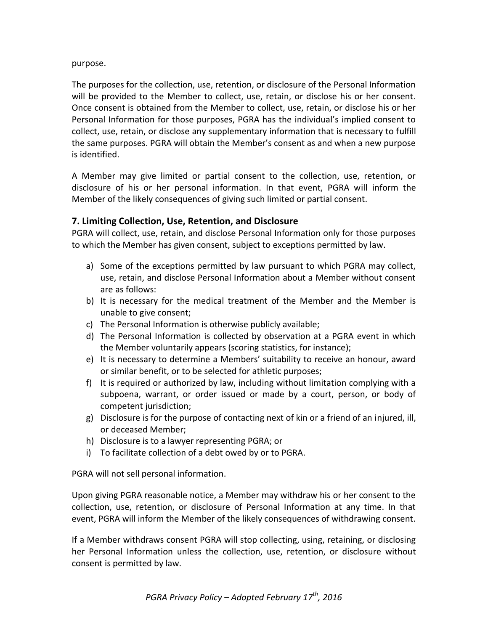#### purpose.

The purposes for the collection, use, retention, or disclosure of the Personal Information will be provided to the Member to collect, use, retain, or disclose his or her consent. Once consent is obtained from the Member to collect, use, retain, or disclose his or her Personal Information for those purposes, PGRA has the individual's implied consent to collect, use, retain, or disclose any supplementary information that is necessary to fulfill the same purposes. PGRA will obtain the Member's consent as and when a new purpose is identified.

A Member may give limited or partial consent to the collection, use, retention, or disclosure of his or her personal information. In that event, PGRA will inform the Member of the likely consequences of giving such limited or partial consent.

### **7. Limiting Collection, Use, Retention, and Disclosure**

PGRA will collect, use, retain, and disclose Personal Information only for those purposes to which the Member has given consent, subject to exceptions permitted by law.

- a) Some of the exceptions permitted by law pursuant to which PGRA may collect, use, retain, and disclose Personal Information about a Member without consent are as follows:
- b) It is necessary for the medical treatment of the Member and the Member is unable to give consent;
- c) The Personal Information is otherwise publicly available;
- d) The Personal Information is collected by observation at a PGRA event in which the Member voluntarily appears (scoring statistics, for instance);
- e) It is necessary to determine a Members' suitability to receive an honour, award or similar benefit, or to be selected for athletic purposes;
- f) It is required or authorized by law, including without limitation complying with a subpoena, warrant, or order issued or made by a court, person, or body of competent jurisdiction;
- g) Disclosure is for the purpose of contacting next of kin or a friend of an injured, ill, or deceased Member;
- h) Disclosure is to a lawyer representing PGRA; or
- i) To facilitate collection of a debt owed by or to PGRA.

PGRA will not sell personal information.

Upon giving PGRA reasonable notice, a Member may withdraw his or her consent to the collection, use, retention, or disclosure of Personal Information at any time. In that event, PGRA will inform the Member of the likely consequences of withdrawing consent.

If a Member withdraws consent PGRA will stop collecting, using, retaining, or disclosing her Personal Information unless the collection, use, retention, or disclosure without consent is permitted by law.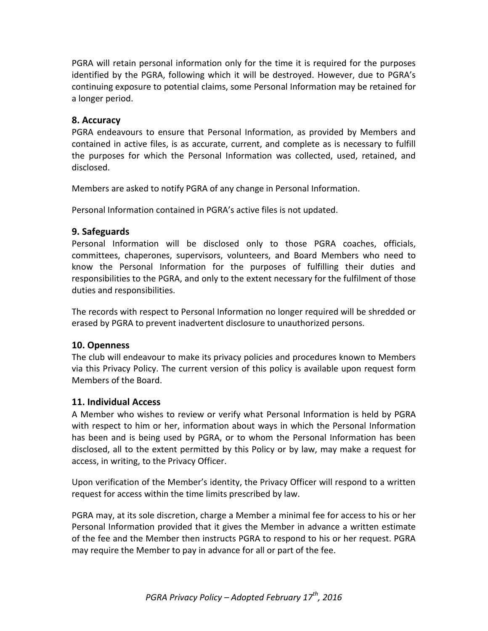PGRA will retain personal information only for the time it is required for the purposes identified by the PGRA, following which it will be destroyed. However, due to PGRA's continuing exposure to potential claims, some Personal Information may be retained for a longer period.

#### **8. Accuracy**

PGRA endeavours to ensure that Personal Information, as provided by Members and contained in active files, is as accurate, current, and complete as is necessary to fulfill the purposes for which the Personal Information was collected, used, retained, and disclosed.

Members are asked to notify PGRA of any change in Personal Information.

Personal Information contained in PGRA's active files is not updated.

### **9. Safeguards**

Personal Information will be disclosed only to those PGRA coaches, officials, committees, chaperones, supervisors, volunteers, and Board Members who need to know the Personal Information for the purposes of fulfilling their duties and responsibilities to the PGRA, and only to the extent necessary for the fulfilment of those duties and responsibilities.

The records with respect to Personal Information no longer required will be shredded or erased by PGRA to prevent inadvertent disclosure to unauthorized persons.

#### **10. Openness**

The club will endeavour to make its privacy policies and procedures known to Members via this Privacy Policy. The current version of this policy is available upon request form Members of the Board.

#### **11. Individual Access**

A Member who wishes to review or verify what Personal Information is held by PGRA with respect to him or her, information about ways in which the Personal Information has been and is being used by PGRA, or to whom the Personal Information has been disclosed, all to the extent permitted by this Policy or by law, may make a request for access, in writing, to the Privacy Officer.

Upon verification of the Member's identity, the Privacy Officer will respond to a written request for access within the time limits prescribed by law.

PGRA may, at its sole discretion, charge a Member a minimal fee for access to his or her Personal Information provided that it gives the Member in advance a written estimate of the fee and the Member then instructs PGRA to respond to his or her request. PGRA may require the Member to pay in advance for all or part of the fee.